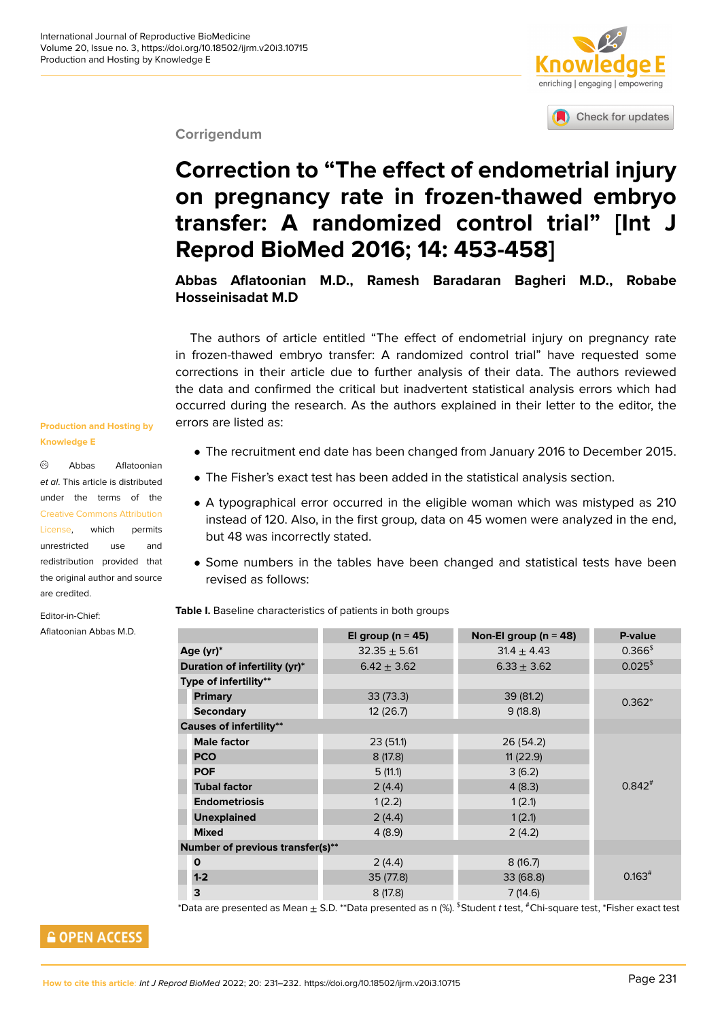# enriching | engaging | empowering

Check for updates

### **Corrigendum**

## **Correction to "The effect of endo[metrial injury](http://crossmark.crossref.org/dialog/?doi=10.18502/ijrm.v20i3.10715&domain=pdf&date_stamp=2018-01-27) on pregnancy rate in frozen-thawed embryo transfer: A randomized control trial" [Int J Reprod BioMed 2016; 14: 453-458]**

**Abbas Aflatoonian M.D., Ramesh Baradaran Bagheri M.D., Robabe Hosseinisadat M.D**

The authors of article entitled "The effect of endometrial injury on pregnancy rate in frozen-thawed embryo transfer: A randomized control trial" have requested some corrections in their article due to further analysis of their data. The authors reviewed the data and confirmed the critical but inadvertent statistical analysis errors which had occurred during the research. As the authors explained in their letter to the editor, the errors are listed as:

#### **Production and Hosting by Knowledge E**

 $\odot$ Abbas Aflatoonian *et al*. This article is distributed under the terms of the Creative Commons Attribution License, which permits unrestricted use and redistribution provided that [the original author and source](https://creativecommons.org/licenses/by/4.0/) [are cred](https://creativecommons.org/licenses/by/4.0/)ited.

Editor-in-Chief: Aflatoonian Abbas M.D.

- The recruitment end date has been changed from January 2016 to December 2015.
- The Fisher's exact test has been added in the statistical analysis section.
- A typographical error occurred in the eligible woman which was mistyped as 210 instead of 120. Also, in the first group, data on 45 women were analyzed in the end, but 48 was incorrectly stated.
- Some numbers in the tables have been changed and statistical tests have been revised as follows:

**Table I.** Baseline characteristics of patients in both groups

|                                  | El group ( $n = 45$ ) | Non-El group ( $n = 48$ ) | P-value              |
|----------------------------------|-----------------------|---------------------------|----------------------|
| Age (yr)*                        | $32.35 \pm 5.61$      | $31.4 \pm 4.43$           | 0.366 <sup></sup>    |
| Duration of infertility (yr)*    | $6.42 \pm 3.62$       | $6.33 \pm 3.62$           | 0.025 <sup>§</sup>   |
| Type of infertility**            |                       |                           |                      |
| <b>Primary</b>                   | 33(73.3)              | 39 (81.2)                 | $0.362*$             |
| <b>Secondary</b>                 | 12(26.7)              | 9(18.8)                   |                      |
| <b>Causes of infertility**</b>   |                       |                           |                      |
| <b>Male factor</b>               | 23(51.1)              | 26 (54.2)                 |                      |
| <b>PCO</b>                       | 8(17.8)               | 11(22.9)                  |                      |
| <b>POF</b>                       | 5(11.1)               | 3(6.2)                    |                      |
| <b>Tubal factor</b>              | 2(4.4)                | 4(8.3)                    | $0.842$ <sup>#</sup> |
| <b>Endometriosis</b>             | 1(2.2)                | 1(2.1)                    |                      |
| <b>Unexplained</b>               | 2(4.4)                | 1(2.1)                    |                      |
| <b>Mixed</b>                     | 4(8.9)                | 2(4.2)                    |                      |
| Number of previous transfer(s)** |                       |                           |                      |
| $\mathbf 0$                      | 2(4.4)                | 8(16.7)                   |                      |
| $1-2$                            | 35(77.8)              | 33(68.8)                  | $0.163$ <sup>#</sup> |
| 3                                | 8(17.8)               | 7(14.6)                   |                      |

\*Data are presented as Mean ± S.D. \*\*Data presented as n (%). \$Student *t* test, #Chi-square test, \*Fisher exact test

### **GOPEN ACCESS**